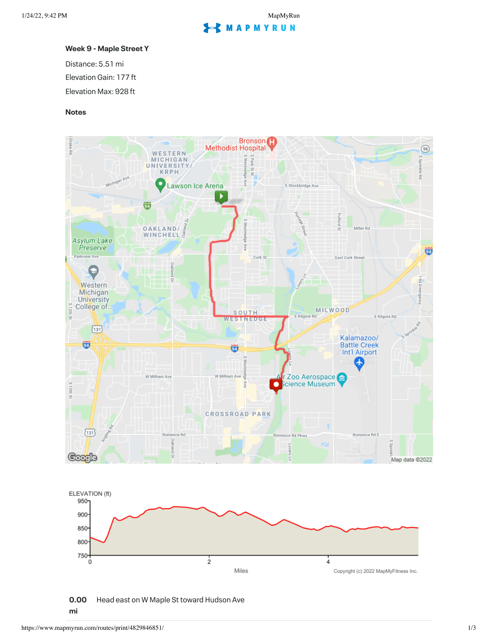## **S** MAPMYRUN

## **Week 9 - Maple Street Y**

Distance: 5.51 mi Elevation Gain: 177 ft Elevation Max: 928 ft

## **Notes**



**0.00 mi** Head east on W Maple St toward Hudson Ave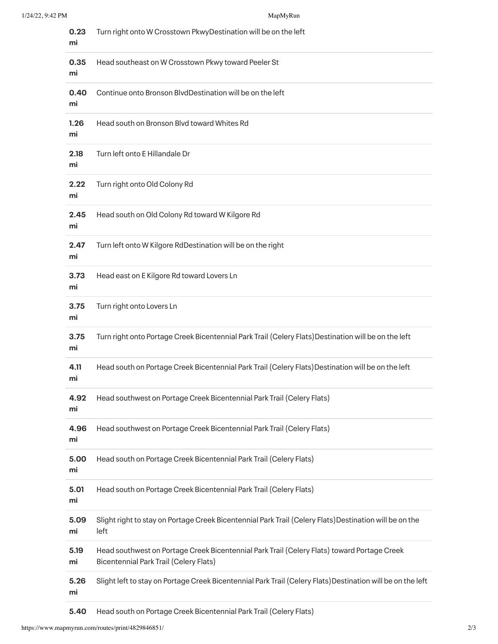| 0.23<br>mi | Turn right onto W Crosstown PkwyDestination will be on the left                                                                              |
|------------|----------------------------------------------------------------------------------------------------------------------------------------------|
| 0.35<br>mi | Head southeast on W Crosstown Pkwy toward Peeler St                                                                                          |
| 0.40<br>mi | Continue onto Bronson BlvdDestination will be on the left                                                                                    |
| 1.26<br>mi | Head south on Bronson Blvd toward Whites Rd                                                                                                  |
| 2.18<br>mi | Turn left onto E Hillandale Dr                                                                                                               |
| 2.22<br>mi | Turn right onto Old Colony Rd                                                                                                                |
| 2.45<br>mi | Head south on Old Colony Rd toward W Kilgore Rd                                                                                              |
| 2.47<br>mi | Turn left onto W Kilgore RdDestination will be on the right                                                                                  |
| 3.73<br>mi | Head east on E Kilgore Rd toward Lovers Ln                                                                                                   |
| 3.75<br>mi | Turn right onto Lovers Ln                                                                                                                    |
| 3.75<br>mi | Turn right onto Portage Creek Bicentennial Park Trail (Celery Flats) Destination will be on the left                                         |
| 4.11<br>mi | Head south on Portage Creek Bicentennial Park Trail (Celery Flats) Destination will be on the left                                           |
| 4.92<br>mi | Head southwest on Portage Creek Bicentennial Park Trail (Celery Flats)                                                                       |
| 4.96<br>mi | Head southwest on Portage Creek Bicentennial Park Trail (Celery Flats)                                                                       |
| 5.00<br>mi | Head south on Portage Creek Bicentennial Park Trail (Celery Flats)                                                                           |
| 5.01<br>mi | Head south on Portage Creek Bicentennial Park Trail (Celery Flats)                                                                           |
| 5.09<br>mi | Slight right to stay on Portage Creek Bicentennial Park Trail (Celery Flats) Destination will be on the<br>left                              |
| 5.19<br>mi | Head southwest on Portage Creek Bicentennial Park Trail (Celery Flats) toward Portage Creek<br><b>Bicentennial Park Trail (Celery Flats)</b> |
| 5.26<br>mi | Slight left to stay on Portage Creek Bicentennial Park Trail (Celery Flats) Destination will be on the left                                  |

**5.40** Head south on Portage Creek Bicentennial Park Trail(Celery Flats)